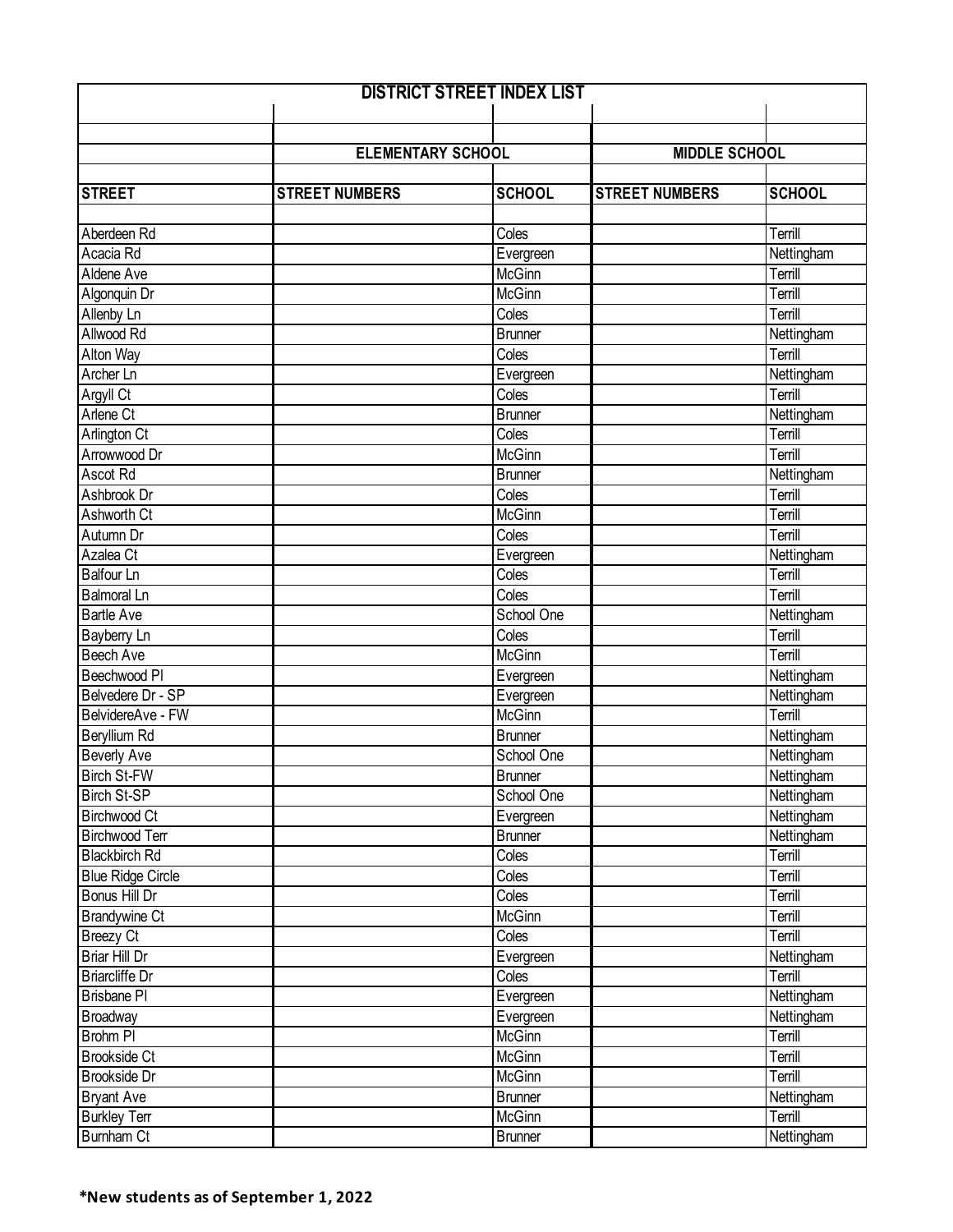| <b>DISTRICT STREET INDEX LIST</b> |                          |                |                       |               |  |
|-----------------------------------|--------------------------|----------------|-----------------------|---------------|--|
|                                   |                          |                |                       |               |  |
|                                   |                          |                |                       |               |  |
|                                   | <b>ELEMENTARY SCHOOL</b> |                | <b>MIDDLE SCHOOL</b>  |               |  |
|                                   |                          |                |                       |               |  |
| <b>STREET</b>                     | <b>STREET NUMBERS</b>    | <b>SCHOOL</b>  | <b>STREET NUMBERS</b> | <b>SCHOOL</b> |  |
|                                   |                          |                |                       |               |  |
| Aberdeen Rd                       |                          | Coles          |                       | Terrill       |  |
| Acacia Rd                         |                          | Evergreen      |                       | Nettingham    |  |
| Aldene Ave                        |                          | McGinn         |                       | Terrill       |  |
| Algonquin Dr                      |                          | <b>McGinn</b>  |                       | Terrill       |  |
| Allenby Ln                        |                          | Coles          |                       | Terrill       |  |
| Allwood Rd                        |                          | <b>Brunner</b> |                       | Nettingham    |  |
| Alton Way                         |                          | Coles          |                       | Terrill       |  |
| Archer Ln                         |                          | Evergreen      |                       | Nettingham    |  |
| Argyll Ct                         |                          | Coles          |                       | Terrill       |  |
| Arlene Ct                         |                          | <b>Brunner</b> |                       | Nettingham    |  |
| <b>Arlington Ct</b>               |                          | Coles          |                       | Terrill       |  |
| Arrowwood Dr                      |                          | McGinn         |                       | Terrill       |  |
| Ascot Rd                          |                          | <b>Brunner</b> |                       | Nettingham    |  |
| Ashbrook Dr                       |                          | Coles          |                       | Terrill       |  |
| <b>Ashworth Ct</b>                |                          | <b>McGinn</b>  |                       | Terrill       |  |
| Autumn Dr                         |                          | Coles          |                       | Terrill       |  |
| Azalea Ct                         |                          | Evergreen      |                       | Nettingham    |  |
| <b>Balfour Ln</b>                 |                          | Coles          |                       | Terrill       |  |
| <b>Balmoral Ln</b>                |                          | Coles          |                       | Terrill       |  |
| <b>Bartle Ave</b>                 |                          | School One     |                       | Nettingham    |  |
| Bayberry Ln                       |                          | Coles          |                       | Terrill       |  |
| <b>Beech Ave</b>                  |                          | <b>McGinn</b>  |                       | Terrill       |  |
| Beechwood PI                      |                          | Evergreen      |                       | Nettingham    |  |
| Belvedere Dr - SP                 |                          | Evergreen      |                       | Nettingham    |  |
| BelvidereAve - FW                 |                          | <b>McGinn</b>  |                       | Terrill       |  |
| <b>Beryllium Rd</b>               |                          | <b>Brunner</b> |                       | Nettingham    |  |
| <b>Beverly Ave</b>                |                          | School One     |                       | Nettingham    |  |
| <b>Birch St-FW</b>                |                          | <b>Brunner</b> |                       | Nettingham    |  |
| <b>Birch St-SP</b>                |                          | School One     |                       | Nettingham    |  |
| <b>Birchwood Ct</b>               |                          | Evergreen      |                       | Nettingham    |  |
| <b>Birchwood Terr</b>             |                          | <b>Brunner</b> |                       | Nettingham    |  |
| <b>Blackbirch Rd</b>              |                          | Coles          |                       | Terrill       |  |
| <b>Blue Ridge Circle</b>          |                          | Coles          |                       | Terrill       |  |
| Bonus Hill Dr                     |                          | Coles          |                       | Terrill       |  |
| <b>Brandywine Ct</b>              |                          | McGinn         |                       | Terrill       |  |
| <b>Breezy Ct</b>                  |                          | Coles          |                       | Terrill       |  |
| Briar Hill Dr                     |                          | Evergreen      |                       | Nettingham    |  |
| <b>Briarcliffe Dr</b>             |                          | Coles          |                       | Terrill       |  |
| <b>Brisbane PI</b>                |                          | Evergreen      |                       | Nettingham    |  |
| Broadway                          |                          | Evergreen      |                       | Nettingham    |  |
| Brohm PI                          |                          | McGinn         |                       | Terrill       |  |
| <b>Brookside Ct</b>               |                          | McGinn         |                       | Terrill       |  |
| Brookside Dr                      |                          | McGinn         |                       | Terrill       |  |
| <b>Bryant Ave</b>                 |                          | <b>Brunner</b> |                       | Nettingham    |  |
| <b>Burkley Terr</b>               |                          | McGinn         |                       | Terrill       |  |
| <b>Burnham Ct</b>                 |                          | <b>Brunner</b> |                       | Nettingham    |  |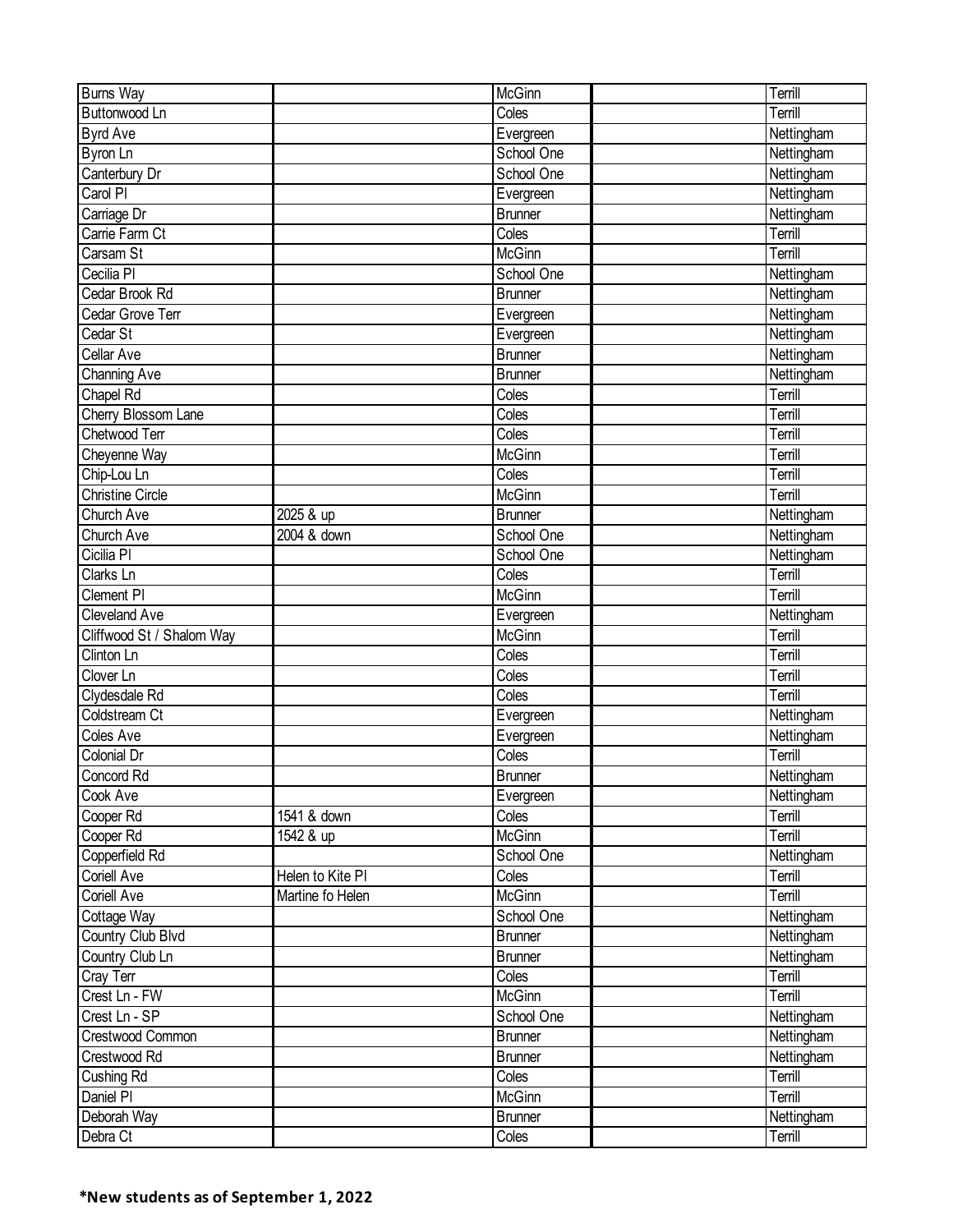| <b>Burns Way</b>          |                  | McGinn              | Terrill    |
|---------------------------|------------------|---------------------|------------|
| <b>Buttonwood Ln</b>      |                  | Coles               | Terrill    |
| <b>Byrd Ave</b>           |                  | Evergreen           | Nettingham |
| Byron Ln                  |                  | School One          | Nettingham |
| Canterbury Dr             |                  | School One          | Nettingham |
| Carol PI                  |                  | Evergreen           | Nettingham |
| Carriage Dr               |                  | <b>Brunner</b>      | Nettingham |
| Carrie Farm Ct            |                  | Coles               | Terrill    |
| Carsam St                 |                  | McGinn              | Terrill    |
| Cecilia PI                |                  | School One          | Nettingham |
| Cedar Brook Rd            |                  | <b>Brunner</b>      | Nettingham |
| Cedar Grove Terr          |                  | Evergreen           | Nettingham |
| Cedar St                  |                  | Evergreen           | Nettingham |
| Cellar Ave                |                  | <b>Brunner</b>      | Nettingham |
| Channing Ave              |                  | <b>Brunner</b>      | Nettingham |
| Chapel Rd                 |                  | Coles               | Terrill    |
| Cherry Blossom Lane       |                  | Coles               | Terrill    |
| Chetwood Terr             |                  | Coles               | Terrill    |
| Cheyenne Way              |                  | <b>McGinn</b>       | Terrill    |
| Chip-Lou Ln               |                  | Coles               | Terrill    |
| <b>Christine Circle</b>   |                  | McGinn              | Terrill    |
| <b>Church Ave</b>         | 2025 & up        | <b>Brunner</b>      | Nettingham |
| Church Ave                | 2004 & down      | School One          | Nettingham |
| Cicilia PI                |                  | School One          | Nettingham |
| Clarks Ln                 |                  | $\overline{C}$ oles | Terrill    |
| Clement PI                |                  | <b>McGinn</b>       | Terrill    |
| Cleveland Ave             |                  | Evergreen           | Nettingham |
| Cliffwood St / Shalom Way |                  | McGinn              | Terrill    |
| Clinton Ln                |                  | Coles               | Terrill    |
| Clover Ln                 |                  | Coles               | Terrill    |
| Clydesdale Rd             |                  | Coles               | Terrill    |
| Coldstream Ct             |                  | Evergreen           | Nettingham |
| Coles Ave                 |                  | Evergreen           | Nettingham |
| <b>Colonial Dr</b>        |                  | Coles               | Terrill    |
| Concord Rd                |                  | <b>Brunner</b>      | Nettingham |
| Cook Ave                  |                  | Evergreen           | Nettingham |
| Cooper Rd                 | 1541 & down      | Coles               | Terrill    |
| Cooper Rd                 | 1542 & up        | McGinn              | Terrill    |
| Copperfield Rd            |                  | School One          | Nettingham |
| Coriell Ave               | Helen to Kite PI | Coles               | Terrill    |
| Coriell Ave               | Martine fo Helen | McGinn              | Terrill    |
| Cottage Way               |                  | School One          | Nettingham |
| Country Club Blvd         |                  | <b>Brunner</b>      | Nettingham |
| Country Club Ln           |                  | <b>Brunner</b>      | Nettingham |
| Cray Terr                 |                  | Coles               | Terrill    |
| Crest Ln - FW             |                  | McGinn              | Terrill    |
| Crest Ln - SP             |                  | School One          | Nettingham |
| Crestwood Common          |                  | <b>Brunner</b>      | Nettingham |
| Crestwood Rd              |                  | <b>Brunner</b>      | Nettingham |
| Cushing Rd                |                  | Coles               | Terrill    |
| Daniel PI                 |                  | McGinn              | Terrill    |
| Deborah Way               |                  | <b>Brunner</b>      | Nettingham |
| Debra Ct                  |                  | Coles               | Terrill    |
|                           |                  |                     |            |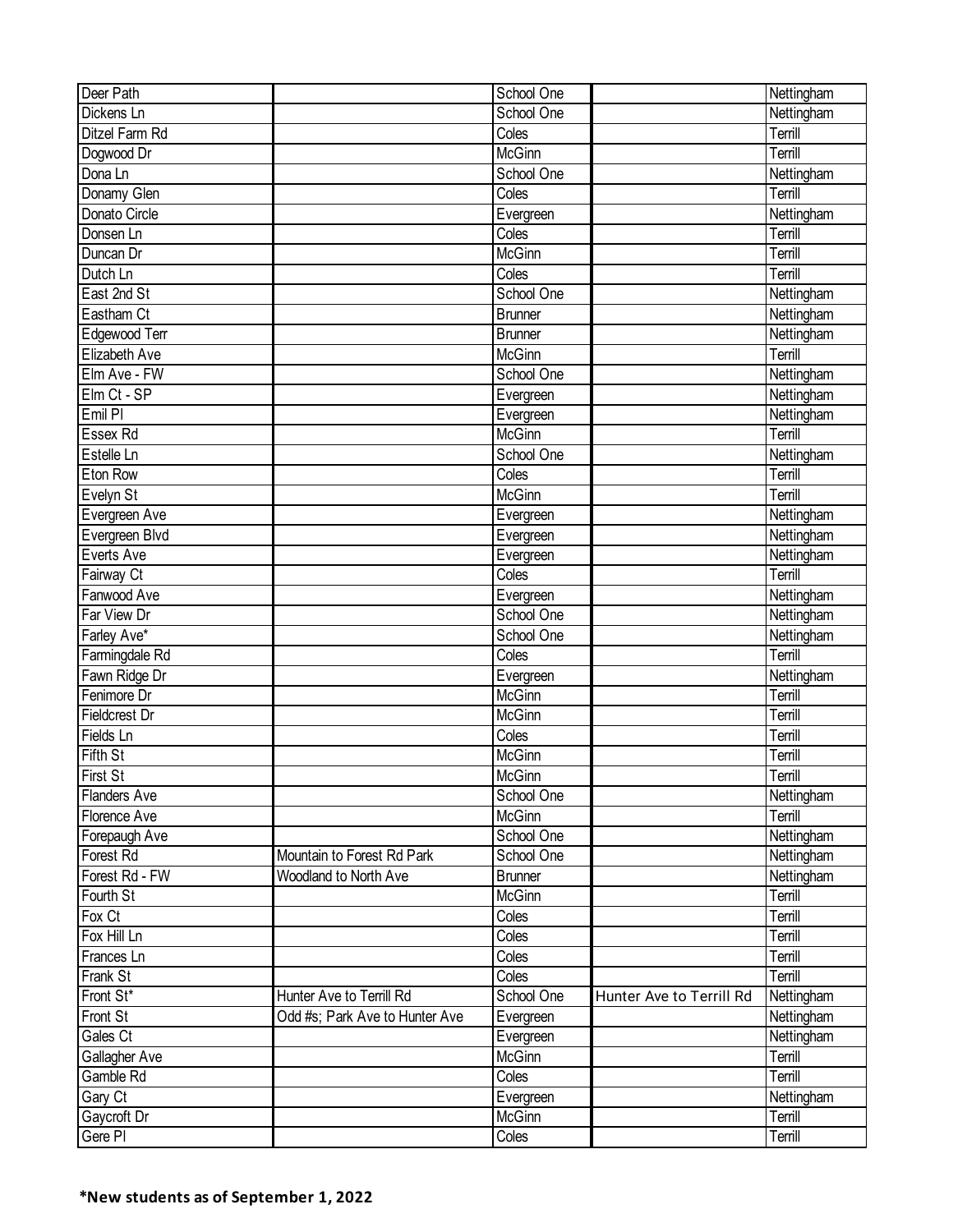| Deer Path            |                                | School One     |                          | Nettingham |
|----------------------|--------------------------------|----------------|--------------------------|------------|
| Dickens Ln           |                                | School One     |                          | Nettingham |
| Ditzel Farm Rd       |                                | Coles          |                          | Terrill    |
| Dogwood Dr           |                                | <b>McGinn</b>  |                          | Terrill    |
| Dona Ln              |                                | School One     |                          | Nettingham |
| Donamy Glen          |                                | Coles          |                          | Terrill    |
| Donato Circle        |                                | Evergreen      |                          | Nettingham |
| Donsen Ln            |                                | Coles          |                          | Terrill    |
| Duncan Dr            |                                | <b>McGinn</b>  |                          | Terrill    |
| Dutch Ln             |                                | Coles          |                          | Terrill    |
| East 2nd St          |                                | School One     |                          | Nettingham |
| Eastham Ct           |                                | <b>Brunner</b> |                          | Nettingham |
| Edgewood Terr        |                                | <b>Brunner</b> |                          | Nettingham |
| Elizabeth Ave        |                                | McGinn         |                          | Terrill    |
| Elm Ave - FW         |                                | School One     |                          | Nettingham |
| Elm Ct - SP          |                                | Evergreen      |                          | Nettingham |
| Emil PI              |                                | Evergreen      |                          | Nettingham |
| Essex Rd             |                                | McGinn         |                          | Terrill    |
| Estelle Ln           |                                | School One     |                          | Nettingham |
| Eton Row             |                                | Coles          |                          | Terrill    |
| Evelyn St            |                                | McGinn         |                          | Terrill    |
| Evergreen Ave        |                                | Evergreen      |                          | Nettingham |
| Evergreen Blvd       |                                | Evergreen      |                          | Nettingham |
| Everts Ave           |                                | Evergreen      |                          | Nettingham |
| Fairway Ct           |                                | Coles          |                          | Terrill    |
| Fanwood Ave          |                                | Evergreen      |                          | Nettingham |
| Far View Dr          |                                | School One     |                          | Nettingham |
| Farley Ave*          |                                | School One     |                          | Nettingham |
| Farmingdale Rd       |                                | Coles          |                          | Terrill    |
| Fawn Ridge Dr        |                                | Evergreen      |                          | Nettingham |
| Fenimore Dr          |                                | McGinn         |                          | Terrill    |
| <b>Fieldcrest Dr</b> |                                | <b>McGinn</b>  |                          | Terrill    |
| Fields Ln            |                                | Coles          |                          | Terrill    |
| <b>Fifth St</b>      |                                | <b>McGinn</b>  |                          | Terrill    |
| First St             |                                | McGinn         |                          | Terrill    |
| <b>Flanders Ave</b>  |                                | School One     |                          | Nettingham |
| Florence Ave         |                                | McGinn         |                          | Terrill    |
| Forepaugh Ave        |                                | School One     |                          | Nettingham |
| Forest Rd            | Mountain to Forest Rd Park     | School One     |                          | Nettingham |
| Forest Rd - FW       | Woodland to North Ave          | <b>Brunner</b> |                          | Nettingham |
| Fourth St            |                                | McGinn         |                          | Terrill    |
| Fox Ct               |                                | Coles          |                          | Terrill    |
| Fox Hill Ln          |                                | Coles          |                          | Terrill    |
| Frances Ln           |                                | Coles          |                          | Terrill    |
| Frank St             |                                | Coles          |                          | Terrill    |
| Front St*            | Hunter Ave to Terrill Rd       | School One     | Hunter Ave to Terrill Rd | Nettingham |
| Front St             | Odd #s; Park Ave to Hunter Ave | Evergreen      |                          | Nettingham |
| Gales Ct             |                                | Evergreen      |                          | Nettingham |
| Gallagher Ave        |                                | McGinn         |                          | Terrill    |
| Gamble Rd            |                                | Coles          |                          | Terrill    |
| Gary Ct              |                                | Evergreen      |                          | Nettingham |
| Gaycroft Dr          |                                | McGinn         |                          | Terrill    |
| Gere PI              |                                | Coles          |                          | Terrill    |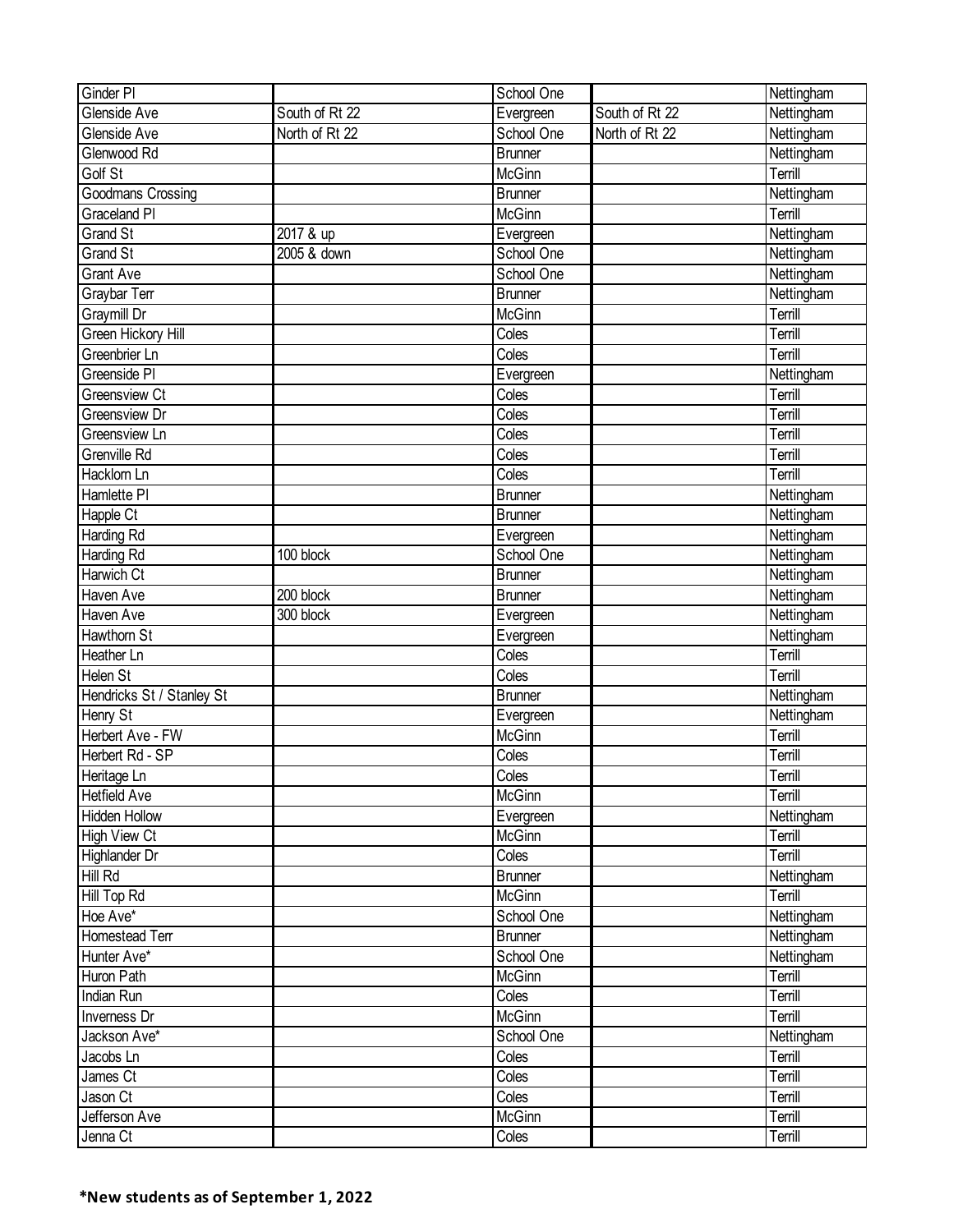| Ginder PI                 |                | School One     |                | Nettingham |
|---------------------------|----------------|----------------|----------------|------------|
| Glenside Ave              | South of Rt 22 | Evergreen      | South of Rt 22 | Nettingham |
| Glenside Ave              | North of Rt 22 | School One     | North of Rt 22 | Nettingham |
| Glenwood Rd               |                | <b>Brunner</b> |                | Nettingham |
| Golf St                   |                | <b>McGinn</b>  |                | Terrill    |
| <b>Goodmans Crossing</b>  |                | Brunner        |                | Nettingham |
| Graceland PI              |                | McGinn         |                | Terrill    |
| <b>Grand St</b>           | 2017 & up      | Evergreen      |                | Nettingham |
| <b>Grand St</b>           | 2005 & down    | School One     |                | Nettingham |
| <b>Grant Ave</b>          |                | School One     |                | Nettingham |
| Graybar Terr              |                | <b>Brunner</b> |                | Nettingham |
| Graymill Dr               |                | McGinn         |                | Terrill    |
| Green Hickory Hill        |                | Coles          |                | Terrill    |
| Greenbrier Ln             |                | Coles          |                | Terrill    |
| Greenside PI              |                | Evergreen      |                | Nettingham |
| <b>Greensview Ct</b>      |                | Coles          |                | Terrill    |
| <b>Greensview Dr</b>      |                | Coles          |                | Terrill    |
| Greensview Ln             |                | Coles          |                | Terrill    |
| Grenville Rd              |                | Coles          |                | Terrill    |
|                           |                | Coles          |                |            |
| Hacklorn Ln               |                |                |                | Terrill    |
| Hamlette PI               |                | <b>Brunner</b> |                | Nettingham |
| Happle Ct                 |                | Brunner        |                | Nettingham |
| Harding Rd                |                | Evergreen      |                | Nettingham |
| Harding Rd                | 100 block      | School One     |                | Nettingham |
| Harwich Ct                |                | <b>Brunner</b> |                | Nettingham |
| Haven Ave                 | 200 block      | <b>Brunner</b> |                | Nettingham |
| Haven Ave                 | 300 block      | Evergreen      |                | Nettingham |
| Hawthorn St               |                | Evergreen      |                | Nettingham |
| Heather Ln                |                | Coles          |                | Terrill    |
| Helen St                  |                | Coles          |                | Terrill    |
| Hendricks St / Stanley St |                | <b>Brunner</b> |                | Nettingham |
| Henry St                  |                | Evergreen      |                | Nettingham |
| Herbert Ave - FW          |                | McGinn         |                | Terrill    |
| Herbert Rd - SP           |                | Coles          |                | Terrill    |
| Heritage Ln               |                | Coles          |                | Terrill    |
| <b>Hetfield Ave</b>       |                | <b>McGinn</b>  |                | Terrill    |
| <b>Hidden Hollow</b>      |                | Evergreen      |                | Nettingham |
| <b>High View Ct</b>       |                | McGinn         |                | Terrill    |
| Highlander Dr             |                | Coles          |                | Terrill    |
| Hill Rd                   |                | <b>Brunner</b> |                | Nettingham |
| Hill Top Rd               |                | McGinn         |                | Terrill    |
| Hoe Ave*                  |                | School One     |                | Nettingham |
| Homestead Terr            |                | <b>Brunner</b> |                | Nettingham |
| Hunter Ave*               |                | School One     |                | Nettingham |
| Huron Path                |                | McGinn         |                | Terrill    |
| Indian Run                |                | Coles          |                | Terrill    |
| Inverness Dr              |                | McGinn         |                | Terrill    |
| Jackson Ave*              |                | School One     |                | Nettingham |
| Jacobs Ln                 |                | Coles          |                | Terrill    |
| James Ct                  |                | Coles          |                | Terrill    |
| Jason Ct                  |                | Coles          |                | Terrill    |
| Jefferson Ave             |                | McGinn         |                | Terrill    |
| Jenna Ct                  |                | Coles          |                | Terrill    |
|                           |                |                |                |            |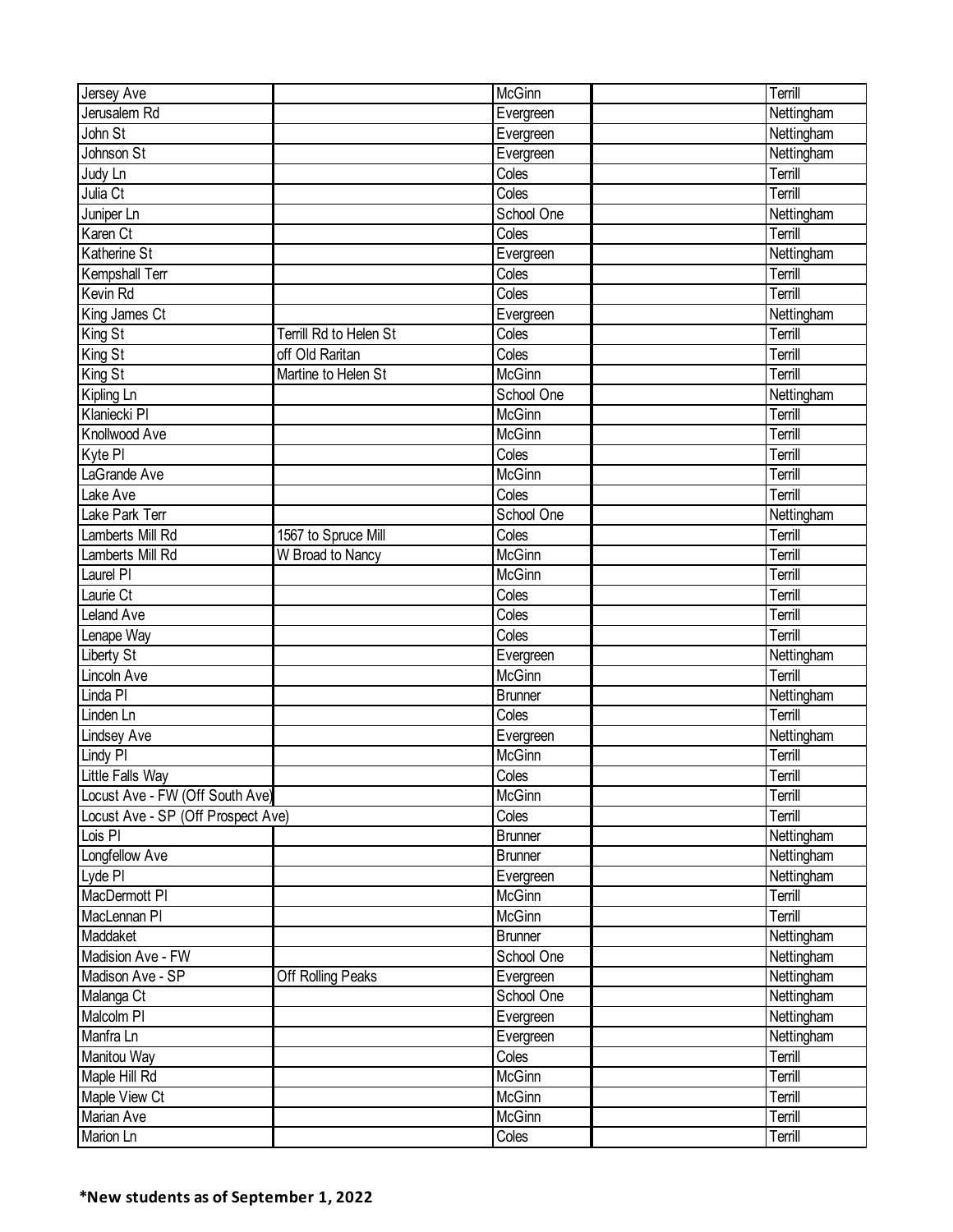| Jersey Ave                         |                        | McGinn                       | Terrill                  |
|------------------------------------|------------------------|------------------------------|--------------------------|
| Jerusalem Rd                       |                        | Evergreen                    | Nettingham               |
| John St                            |                        | Evergreen                    | Nettingham               |
| Johnson St                         |                        | Evergreen                    | Nettingham               |
| Judy Ln                            |                        | Coles                        | Terrill                  |
| Julia Ct                           |                        | Coles                        | Terrill                  |
| Juniper Ln                         |                        | School One                   | Nettingham               |
| Karen Ct                           |                        | Coles                        | Terrill                  |
| <b>Katherine St</b>                |                        | Evergreen                    | Nettingham               |
| Kempshall Terr                     |                        | Coles                        | Terrill                  |
| Kevin Rd                           |                        | Coles                        | Terrill                  |
| King James Ct                      |                        | Evergreen                    | Nettingham               |
| King St                            | Terrill Rd to Helen St | Coles                        | Terrill                  |
| King St                            | off Old Raritan        | Coles                        | Terrill                  |
| King St                            | Martine to Helen St    | McGinn                       | Terrill                  |
| Kipling Ln                         |                        | School One                   | Nettingham               |
| Klaniecki Pl                       |                        | <b>McGinn</b>                | Terrill                  |
| Knollwood Ave                      |                        | McGinn                       | Terrill                  |
| Kyte PI                            |                        | Coles                        | Terrill                  |
| LaGrande Ave                       |                        | McGinn                       | Terrill                  |
| Lake Ave                           |                        | Coles                        | Terrill                  |
| Lake Park Terr                     |                        | School One                   | Nettingham               |
| Lamberts Mill Rd                   | 1567 to Spruce Mill    | Coles                        | Terrill                  |
| Lamberts Mill Rd                   | W Broad to Nancy       | McGinn                       | Terrill                  |
| Laurel <sub>PI</sub>               |                        | McGinn                       | Terrill                  |
| Laurie Ct                          |                        | Coles                        | Terrill                  |
| <b>Leland Ave</b>                  |                        | Coles                        | Terrill                  |
| Lenape Way                         |                        | Coles                        | Terrill                  |
| Liberty St                         |                        | Evergreen                    | Nettingham               |
| Lincoln Ave                        |                        | <b>McGinn</b>                | Terrill                  |
| Linda PI                           |                        | <b>Brunner</b>               | Nettingham               |
| Linden Ln                          |                        | Coles                        | Terrill                  |
| <b>Lindsey Ave</b>                 |                        | Evergreen                    | Nettingham               |
| Lindy PI                           |                        | <b>McGinn</b>                | Terrill                  |
| <b>Little Falls Way</b>            |                        | Coles                        | Terrill                  |
| Locust Ave - FW (Off South Ave)    |                        | McGinn                       | Terrill                  |
| Locust Ave - SP (Off Prospect Ave) |                        | Coles                        | Terrill                  |
| Lois PI                            |                        | <b>Brunner</b>               | Nettingham               |
| Longfellow Ave                     |                        | <b>Brunner</b>               | Nettingham               |
| Lyde PI                            |                        |                              | Nettingham               |
| MacDermott PI                      |                        | Evergreen<br>McGinn          | Terrill                  |
| MacLennan PI                       |                        | McGinn                       | Terrill                  |
| Maddaket                           |                        |                              |                          |
| Madision Ave - FW                  |                        | <b>Brunner</b><br>School One | Nettingham               |
|                                    | Off Rolling Peaks      |                              | Nettingham               |
| Madison Ave - SP                   |                        | Evergreen<br>School One      | Nettingham               |
| Malanga Ct<br>Malcolm PI           |                        |                              | Nettingham               |
| Manfra Ln                          |                        | Evergreen<br>Evergreen       | Nettingham<br>Nettingham |
|                                    |                        |                              |                          |
| Manitou Way                        |                        | Coles<br>McGinn              | Terrill<br>Terrill       |
| Maple Hill Rd                      |                        |                              |                          |
| Maple View Ct                      |                        | McGinn<br>McGinn             | Terrill                  |
| Marian Ave                         |                        |                              | Terrill                  |
| Marion Ln                          |                        | Coles                        | Terrill                  |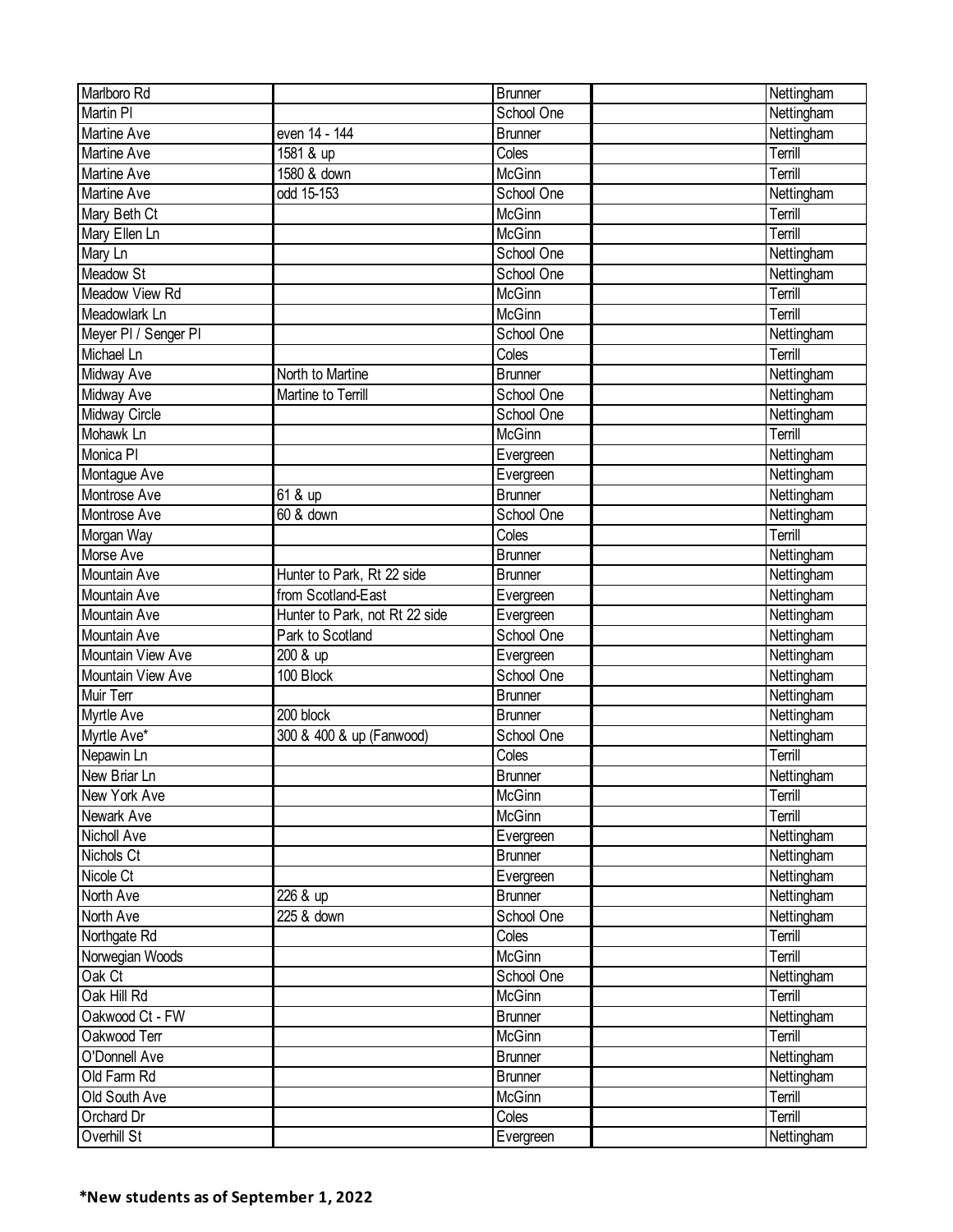| Marlboro Rd          |                                | <b>Brunner</b> | Nettingham |
|----------------------|--------------------------------|----------------|------------|
| <b>Martin PI</b>     |                                | School One     | Nettingham |
| Martine Ave          | even 14 - 144                  | <b>Brunner</b> | Nettingham |
| <b>Martine Ave</b>   | 1581 & up                      | Coles          | Terrill    |
| Martine Ave          | 1580 & down                    | <b>McGinn</b>  | Terrill    |
| Martine Ave          | odd 15-153                     | School One     | Nettingham |
| Mary Beth Ct         |                                | McGinn         | Terrill    |
| Mary Ellen Ln        |                                | McGinn         | Terrill    |
| Mary Ln              |                                | School One     | Nettingham |
| Meadow St            |                                | School One     | Nettingham |
| Meadow View Rd       |                                | <b>McGinn</b>  | Terrill    |
| Meadowlark Ln        |                                | <b>McGinn</b>  | Terrill    |
| Meyer PI / Senger PI |                                | School One     | Nettingham |
| Michael Ln           |                                | Coles          | Terrill    |
| Midway Ave           | North to Martine               | <b>Brunner</b> | Nettingham |
| <b>Midway Ave</b>    | Martine to Terrill             | School One     | Nettingham |
| Midway Circle        |                                | School One     | Nettingham |
| Mohawk Ln            |                                | McGinn         | Terrill    |
| Monica PI            |                                | Evergreen      | Nettingham |
| Montague Ave         |                                | Evergreen      | Nettingham |
| Montrose Ave         | $\overline{6}$ 1 & up          | <b>Brunner</b> | Nettingham |
| Montrose Ave         | 60 & down                      | School One     | Nettingham |
| Morgan Way           |                                | Coles          | Terrill    |
| Morse Ave            |                                | <b>Brunner</b> | Nettingham |
| Mountain Ave         | Hunter to Park, Rt 22 side     | <b>Brunner</b> | Nettingham |
| <b>Mountain Ave</b>  | from Scotland-East             | Evergreen      | Nettingham |
| Mountain Ave         | Hunter to Park, not Rt 22 side | Evergreen      | Nettingham |
| Mountain Ave         | Park to Scotland               | School One     | Nettingham |
| Mountain View Ave    | 200 & up                       | Evergreen      | Nettingham |
| Mountain View Ave    | 100 Block                      | School One     | Nettingham |
| Muir Terr            |                                | <b>Brunner</b> | Nettingham |
| Myrtle Ave           | 200 block                      | <b>Brunner</b> | Nettingham |
| Myrtle Ave*          | 300 & 400 & up (Fanwood)       | School One     | Nettingham |
| Nepawin Ln           |                                | Coles          | Terrill    |
| New Briar Ln         |                                | <b>Brunner</b> | Nettingham |
| New York Ave         |                                | McGinn         | Terrill    |
| Newark Ave           |                                | McGinn         | Terrill    |
| <b>Nicholl Ave</b>   |                                | Evergreen      | Nettingham |
| Nichols Ct           |                                | <b>Brunner</b> | Nettingham |
| Nicole Ct            |                                | Evergreen      | Nettingham |
| North Ave            | 226 & up                       | <b>Brunner</b> | Nettingham |
| North Ave            | 225 & down                     | School One     | Nettingham |
| Northgate Rd         |                                | Coles          | Terrill    |
| Norwegian Woods      |                                | McGinn         | Terrill    |
| Oak Ct               |                                | School One     | Nettingham |
| Oak Hill Rd          |                                | McGinn         | Terrill    |
| Oakwood Ct - FW      |                                | <b>Brunner</b> | Nettingham |
| Oakwood Terr         |                                | McGinn         | Terrill    |
| O'Donnell Ave        |                                | <b>Brunner</b> | Nettingham |
| Old Farm Rd          |                                | <b>Brunner</b> | Nettingham |
| Old South Ave        |                                | McGinn         | Terrill    |
| Orchard Dr           |                                | Coles          | Terrill    |
| Overhill St          |                                | Evergreen      | Nettingham |
|                      |                                |                |            |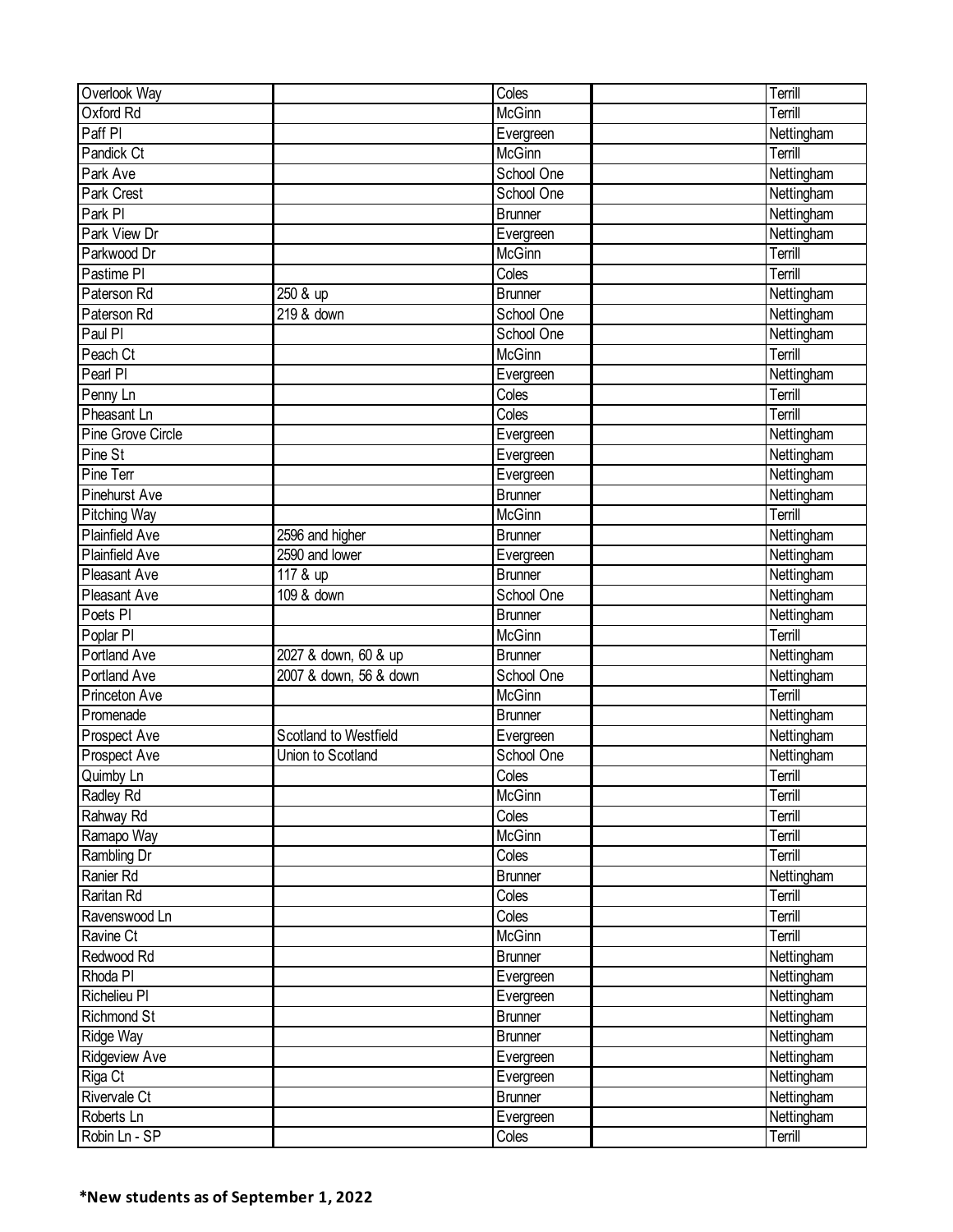| Overlook Way                   |                        | Coles                       | Terrill               |
|--------------------------------|------------------------|-----------------------------|-----------------------|
| Oxford Rd                      |                        | McGinn                      | Terrill               |
| Paff PI                        |                        | Evergreen                   | Nettingham            |
| Pandick Ct                     |                        | McGinn                      | Terrill               |
| Park Ave                       |                        | School One                  | Nettingham            |
| Park Crest                     |                        | School One                  | Nettingham            |
| Park PI                        |                        | Brunner                     | Nettingham            |
| Park View Dr                   |                        | Evergreen                   | Nettingham            |
| Parkwood Dr                    |                        | McGinn                      | Terrill               |
| Pastime PI                     |                        | Coles                       | Terrill               |
| Paterson Rd                    | 250 & up               | <b>Brunner</b>              | Nettingham            |
| Paterson Rd                    | 219 & down             | School One                  | Nettingham            |
| Paul PI                        |                        | School One                  | Nettingham            |
| Peach Ct                       |                        | <b>McGinn</b>               | Terrill               |
| Pearl PI                       |                        | Evergreen                   | Nettingham            |
| Penny Ln                       |                        | Coles                       | Terrill               |
| Pheasant Ln                    |                        | Coles                       | Terrill               |
| Pine Grove Circle              |                        | Evergreen                   | Nettingham            |
| Pine St                        |                        | Evergreen                   | Nettingham            |
| Pine Terr                      |                        |                             | Nettingham            |
| <b>Pinehurst Ave</b>           |                        | Evergreen<br><b>Brunner</b> |                       |
|                                |                        | <b>McGinn</b>               | Nettingham<br>Terrill |
| Pitching Way<br>Plainfield Ave |                        |                             |                       |
|                                | 2596 and higher        | Brunner                     | Nettingham            |
| <b>Plainfield Ave</b>          | 2590 and lower         | Evergreen                   | Nettingham            |
| Pleasant Ave                   | 117 & up               | <b>Brunner</b>              | Nettingham            |
| Pleasant Ave                   | 109 & down             | School One                  | Nettingham            |
| Poets <sub>PI</sub>            |                        | <b>Brunner</b>              | Nettingham            |
| Poplar PI                      |                        | McGinn                      | Terrill               |
| <b>Portland Ave</b>            | 2027 & down, 60 & up   | <b>Brunner</b>              | Nettingham            |
| <b>Portland Ave</b>            | 2007 & down, 56 & down | School One                  | Nettingham            |
| Princeton Ave                  |                        | McGinn                      | Terrill               |
| Promenade                      |                        | <b>Brunner</b>              | Nettingham            |
| Prospect Ave                   | Scotland to Westfield  | Evergreen                   | Nettingham            |
| Prospect Ave                   | Union to Scotland      | School One                  | Nettingham            |
| Quimby Ln                      |                        | Coles                       | Terrill               |
| Radley Rd                      |                        | McGinn                      | Terrill               |
| Rahway Rd                      |                        | Coles                       | Terrill               |
| Ramapo Way                     |                        | McGinn                      | Terrill               |
| Rambling Dr                    |                        | Coles                       | Terrill               |
| Ranier Rd                      |                        | <b>Brunner</b>              | Nettingham            |
| Raritan Rd                     |                        | Coles                       | Terrill               |
| Ravenswood Ln                  |                        | Coles                       | Terrill               |
| Ravine Ct                      |                        | McGinn                      | Terrill               |
| Redwood Rd                     |                        | <b>Brunner</b>              | Nettingham            |
| Rhoda PI                       |                        | Evergreen                   | Nettingham            |
| Richelieu PI                   |                        | Evergreen                   | Nettingham            |
| Richmond St                    |                        | <b>Brunner</b>              | Nettingham            |
| Ridge Way                      |                        | <b>Brunner</b>              | Nettingham            |
| <b>Ridgeview Ave</b>           |                        | Evergreen                   | Nettingham            |
| Riga Ct                        |                        | Evergreen                   | Nettingham            |
| Rivervale Ct                   |                        | <b>Brunner</b>              | Nettingham            |
| Roberts Ln                     |                        | Evergreen                   | Nettingham            |
| Robin Ln - SP                  |                        | Coles                       | Terrill               |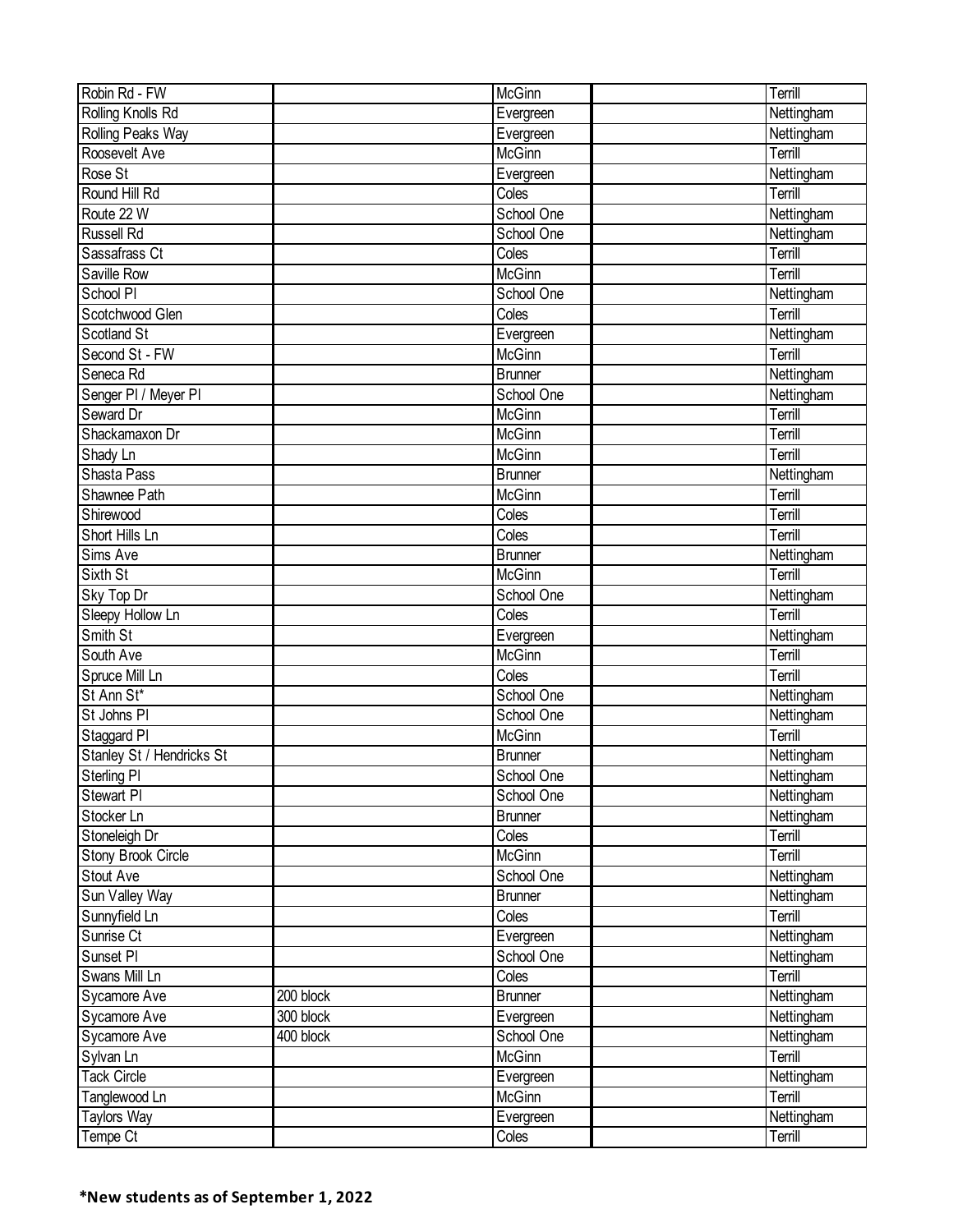| Robin Rd - FW                       |           | McGinn                                          | Terrill               |
|-------------------------------------|-----------|-------------------------------------------------|-----------------------|
| Rolling Knolls Rd                   |           | Evergreen                                       | Nettingham            |
| <b>Rolling Peaks Way</b>            |           | Evergreen                                       | Nettingham            |
| Roosevelt Ave                       |           | McGinn                                          | Terrill               |
| Rose St                             |           | Evergreen                                       | Nettingham            |
| Round Hill Rd                       |           | $\overline{C}$ oles                             | Terrill               |
| Route 22 W                          |           | School One                                      | Nettingham            |
| <b>Russell Rd</b>                   |           | School One                                      | Nettingham            |
| Sassafrass Ct                       |           | Coles                                           | Terrill               |
| Saville Row                         |           | McGinn                                          | Terrill               |
| School PI                           |           | School One                                      | Nettingham            |
| Scotchwood Glen                     |           | Coles                                           | Terrill               |
| Scotland St                         |           | Evergreen                                       | Nettingham            |
| Second St - FW                      |           | McGinn                                          | Terrill               |
| Seneca Rd                           |           | <b>Brunner</b>                                  | Nettingham            |
| Senger PI / Meyer PI                |           | School One                                      | Nettingham            |
| Seward Dr                           |           | <b>McGinn</b>                                   | Terrill               |
| Shackamaxon Dr                      |           | <b>McGinn</b>                                   | Terrill               |
| Shady Ln                            |           | <b>McGinn</b>                                   | Terrill               |
| Shasta Pass                         |           | <b>Brunner</b>                                  | Nettingham            |
| Shawnee Path                        |           | McGinn                                          | Terrill               |
| Shirewood                           |           | $\overline{C}$ oles                             | Terrill               |
| Short Hills Ln                      |           | Coles                                           | Terrill               |
| Sims Ave                            |           | <b>Brunner</b>                                  | Nettingham            |
| Sixth St                            |           | McGinn                                          | Terrill               |
| Sky Top Dr                          |           | School One                                      | Nettingham            |
| Sleepy Hollow Ln                    |           | $\overline{\overline{\mathrm{Co}}\mathrm{les}}$ | Terrill               |
| Smith St                            |           | Evergreen                                       | Nettingham            |
| South Ave                           |           | McGinn                                          | Terrill               |
| Spruce Mill Ln                      |           | Coles                                           | Terrill               |
| St Ann St*                          |           | School One                                      | Nettingham            |
| St Johns PI                         |           | School One                                      | Nettingham            |
| Staggard PI                         |           | <b>McGinn</b>                                   | Terrill               |
| Stanley St / Hendricks St           |           | <b>Brunner</b>                                  | Nettingham            |
| Sterling PI                         |           | School One                                      | Nettingham            |
| Stewart PI                          |           | School One                                      | Nettingham            |
| Stocker Ln                          |           | <b>Brunner</b>                                  | Nettingham            |
| Stoneleigh Dr                       |           | Coles                                           | Terrill               |
| <b>Stony Brook Circle</b>           |           | McGinn                                          | Terrill               |
| <b>Stout Ave</b>                    |           | School One                                      | Nettingham            |
| Sun Valley Way                      |           | <b>Brunner</b>                                  | Nettingham            |
| Sunnyfield Ln                       |           | Coles                                           | Terrill               |
| Sunrise Ct                          |           |                                                 | Nettingham            |
| Sunset PI                           |           | Evergreen<br>School One                         |                       |
| Swans Mill Ln                       |           |                                                 | Nettingham<br>Terrill |
| Sycamore Ave                        | 200 block | Coles<br><b>Brunner</b>                         | Nettingham            |
|                                     |           |                                                 |                       |
| Sycamore Ave                        | 300 block | Evergreen                                       | Nettingham            |
| Sycamore Ave                        | 400 block | School One                                      | Nettingham            |
| Sylvan Ln                           |           | McGinn                                          | Terrill               |
| <b>Tack Circle</b>                  |           | Evergreen                                       | Nettingham<br>Terrill |
| Tanglewood Ln<br><b>Taylors Way</b> |           | McGinn                                          |                       |
|                                     |           | Evergreen                                       | Nettingham            |
| Tempe Ct                            |           | Coles                                           | Terrill               |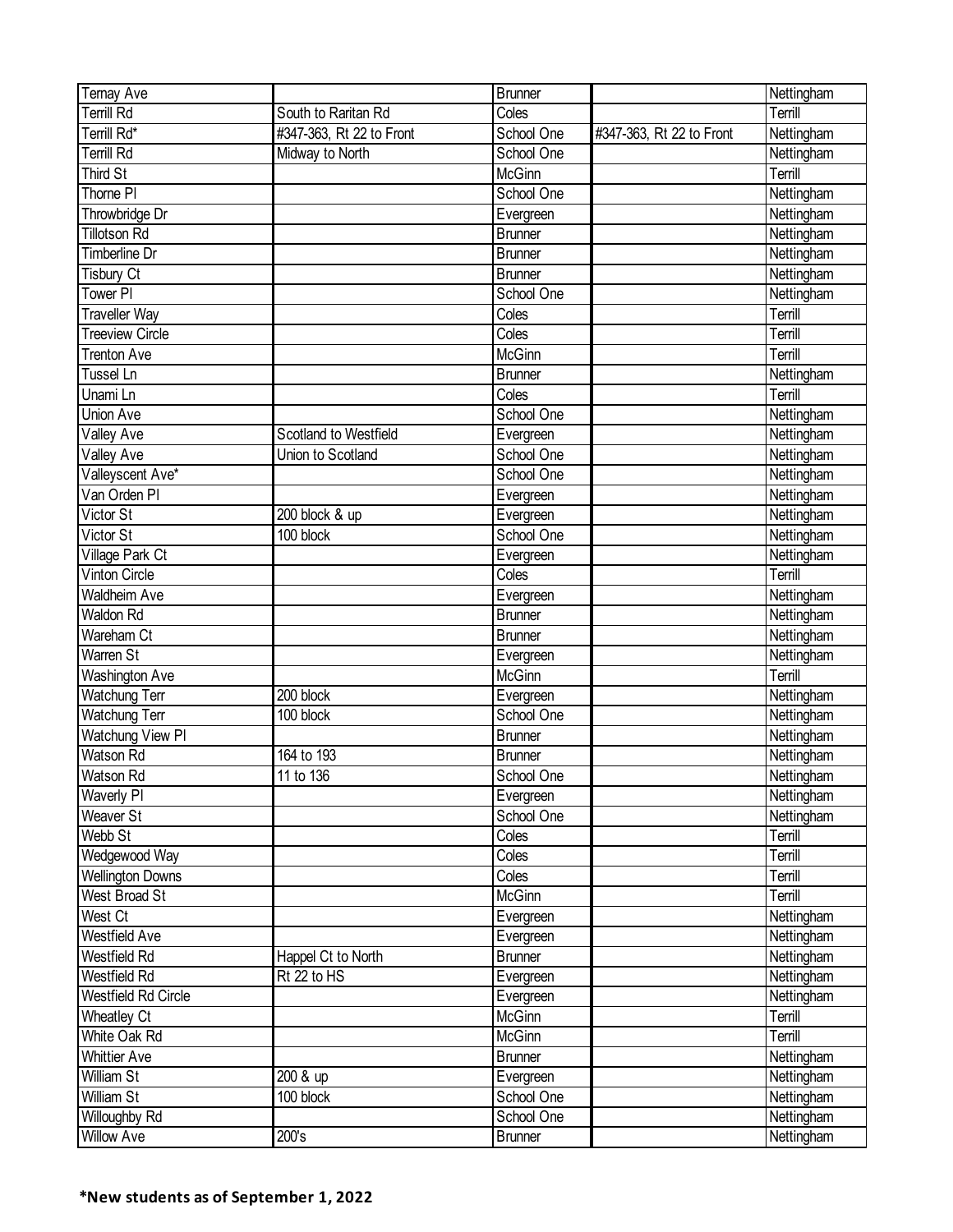| Ternay Ave              |                          | Brunner        |                          | Nettingham |
|-------------------------|--------------------------|----------------|--------------------------|------------|
| <b>Terrill Rd</b>       | South to Raritan Rd      | Coles          |                          | Terrill    |
| Terrill Rd*             | #347-363, Rt 22 to Front | School One     | #347-363, Rt 22 to Front | Nettingham |
| Terrill Rd              | Midway to North          | School One     |                          | Nettingham |
| <b>Third St</b>         |                          | McGinn         |                          | Terrill    |
| Thorne PI               |                          | School One     |                          | Nettingham |
| Throwbridge Dr          |                          | Evergreen      |                          | Nettingham |
| <b>Tillotson Rd</b>     |                          | <b>Brunner</b> |                          | Nettingham |
| Timberline Dr           |                          | <b>Brunner</b> |                          | Nettingham |
| <b>Tisbury Ct</b>       |                          | Brunner        |                          | Nettingham |
| Tower PI                |                          | School One     |                          | Nettingham |
| <b>Traveller Way</b>    |                          | Coles          |                          | Terrill    |
| <b>Treeview Circle</b>  |                          | Coles          |                          | Terrill    |
| <b>Trenton Ave</b>      |                          | McGinn         |                          | Terrill    |
| <b>Tussel Ln</b>        |                          | <b>Brunner</b> |                          | Nettingham |
| Unami Ln                |                          | Coles          |                          | Terrill    |
| Union Ave               |                          | School One     |                          | Nettingham |
| Valley Ave              | Scotland to Westfield    | Evergreen      |                          | Nettingham |
| Valley Ave              | Union to Scotland        | School One     |                          | Nettingham |
| Valleyscent Ave*        |                          | School One     |                          | Nettingham |
| Van Orden PI            |                          | Evergreen      |                          | Nettingham |
| Victor St               | 200 block & up           | Evergreen      |                          | Nettingham |
| Victor St               | 100 block                | School One     |                          | Nettingham |
| Village Park Ct         |                          | Evergreen      |                          | Nettingham |
| <b>Vinton Circle</b>    |                          | Coles          |                          | Terrill    |
| <b>Waldheim Ave</b>     |                          | Evergreen      |                          | Nettingham |
| Waldon Rd               |                          | <b>Brunner</b> |                          | Nettingham |
| Wareham Ct              |                          | <b>Brunner</b> |                          | Nettingham |
| <b>Warren St</b>        |                          | Evergreen      |                          | Nettingham |
| <b>Washington Ave</b>   |                          | McGinn         |                          | Terrill    |
| Watchung Terr           | 200 block                | Evergreen      |                          | Nettingham |
| Watchung Terr           | 100 block                | School One     |                          | Nettingham |
| Watchung View PI        |                          | <b>Brunner</b> |                          | Nettingham |
| Watson Rd               | 164 to 193               | <b>Brunner</b> |                          | Nettingham |
| <b>Watson Rd</b>        | 11 to 136                | School One     |                          | Nettingham |
| Waverly PI              |                          | Evergreen      |                          | Nettingham |
| Weaver St               |                          | School One     |                          | Nettingham |
| Webb St                 |                          | Coles          |                          | Terrill    |
| Wedgewood Way           |                          | Coles          |                          | Terrill    |
| <b>Wellington Downs</b> |                          | Coles          |                          | Terrill    |
| <b>West Broad St</b>    |                          | McGinn         |                          | Terrill    |
| West Ct                 |                          | Evergreen      |                          | Nettingham |
| Westfield Ave           |                          | Evergreen      |                          | Nettingham |
| Westfield Rd            | Happel Ct to North       | <b>Brunner</b> |                          | Nettingham |
| <b>Westfield Rd</b>     | Rt 22 to HS              | Evergreen      |                          | Nettingham |
| Westfield Rd Circle     |                          | Evergreen      |                          | Nettingham |
| <b>Wheatley Ct</b>      |                          | McGinn         |                          | Terrill    |
| White Oak Rd            |                          | McGinn         |                          | Terrill    |
| <b>Whittier Ave</b>     |                          | <b>Brunner</b> |                          | Nettingham |
| William St              | 200 & up                 | Evergreen      |                          | Nettingham |
| <b>William St</b>       | 100 block                | School One     |                          | Nettingham |
| Willoughby Rd           |                          | School One     |                          | Nettingham |
| <b>Willow Ave</b>       | 200's                    | <b>Brunner</b> |                          | Nettingham |
|                         |                          |                |                          |            |